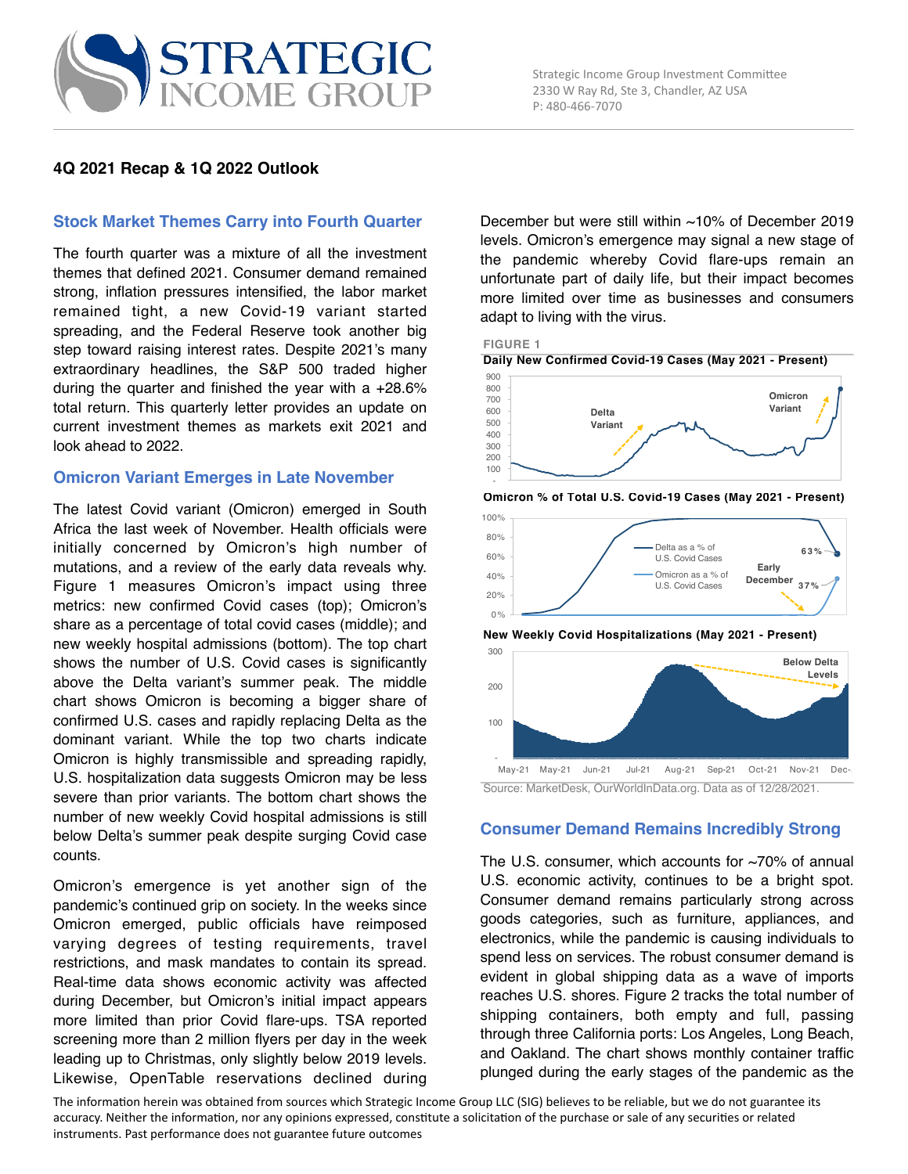## **4Q 2021 Recap & 1Q 2022 Outlook**

### **Stock Market Themes Carry into Fourth Quarter**

The fourth quarter was a mixture of all the investment themes that defined 2021. Consumer demand remained strong, inflation pressures intensified, the labor market remained tight, a new Covid-19 variant started spreading, and the Federal Reserve took another big step toward raising interest rates. Despite 2021's many extraordinary headlines, the S&P 500 traded higher during the quarter and finished the year with a  $+28.6\%$ total return. This quarterly letter provides an update on current investment themes as markets exit 2021 and look ahead to 2022.

#### **Omicron Variant Emerges in Late November**

The latest Covid variant (Omicron) emerged in South Africa the last week of November. Health officials were initially concerned by Omicron's high number of mutations, and a review of the early data reveals why. Figure 1 measures Omicron's impact using three metrics: new confirmed Covid cases (top); Omicron's share as a percentage of total covid cases (middle); and new weekly hospital admissions (bottom). The top chart shows the number of U.S. Covid cases is significantly above the Delta variant's summer peak. The middle chart shows Omicron is becoming a bigger share of confirmed U.S. cases and rapidly replacing Delta as the dominant variant. While the top two charts indicate Omicron is highly transmissible and spreading rapidly, U.S. hospitalization data suggests Omicron may be less severe than prior variants. The bottom chart shows the number of new weekly Covid hospital admissions is still below Delta's summer peak despite surging Covid case counts.

Omicron's emergence is yet another sign of the pandemic's continued grip on society. In the weeks since Omicron emerged, public officials have reimposed varying degrees of testing requirements, travel restrictions, and mask mandates to contain its spread. Real-time data shows economic activity was affected during December, but Omicron's initial impact appears more limited than prior Covid flare-ups. TSA reported screening more than 2 million flyers per day in the week leading up to Christmas, only slightly below 2019 levels. Likewise, OpenTable reservations declined during

December but were still within ~10% of December 2019 levels. Omicron's emergence may signal a new stage of the pandemic whereby Covid flare-ups remain an unfortunate part of daily life, but their impact becomes more limited over time as businesses and consumers adapt to living with the virus.







**Omicron % of Total U.S. Covid-19 Cases (May 2021 - Present)**

**New Weekly Covid Hospitalizations (May 2021 - Present)**



Source: MarketDesk, OurWorldInData.org. Data as of 12/28/2021.

### **Consumer Demand Remains Incredibly Strong**

The U.S. consumer, which accounts for  $\sim$ 70% of annual U.S. economic activity, continues to be a bright spot. Consumer demand remains particularly strong across goods categories, such as furniture, appliances, and electronics, while the pandemic is causing individuals to spend less on services. The robust consumer demand is evident in global shipping data as a wave of imports reaches U.S. shores. Figure 2 tracks the total number of shipping containers, both empty and full, passing through three California ports: Los Angeles, Long Beach, and Oakland. The chart shows monthly container traffic plunged during the early stages of the pandemic as the

The information herein was obtained from sources which Strategic Income Group LLC (SIG) believes to be reliable, but we do not guarantee its accuracy. Neither the information, nor any opinions expressed, constitute a solicitation of the purchase or sale of any securities or related instruments. Past performance does not guarantee future outcomes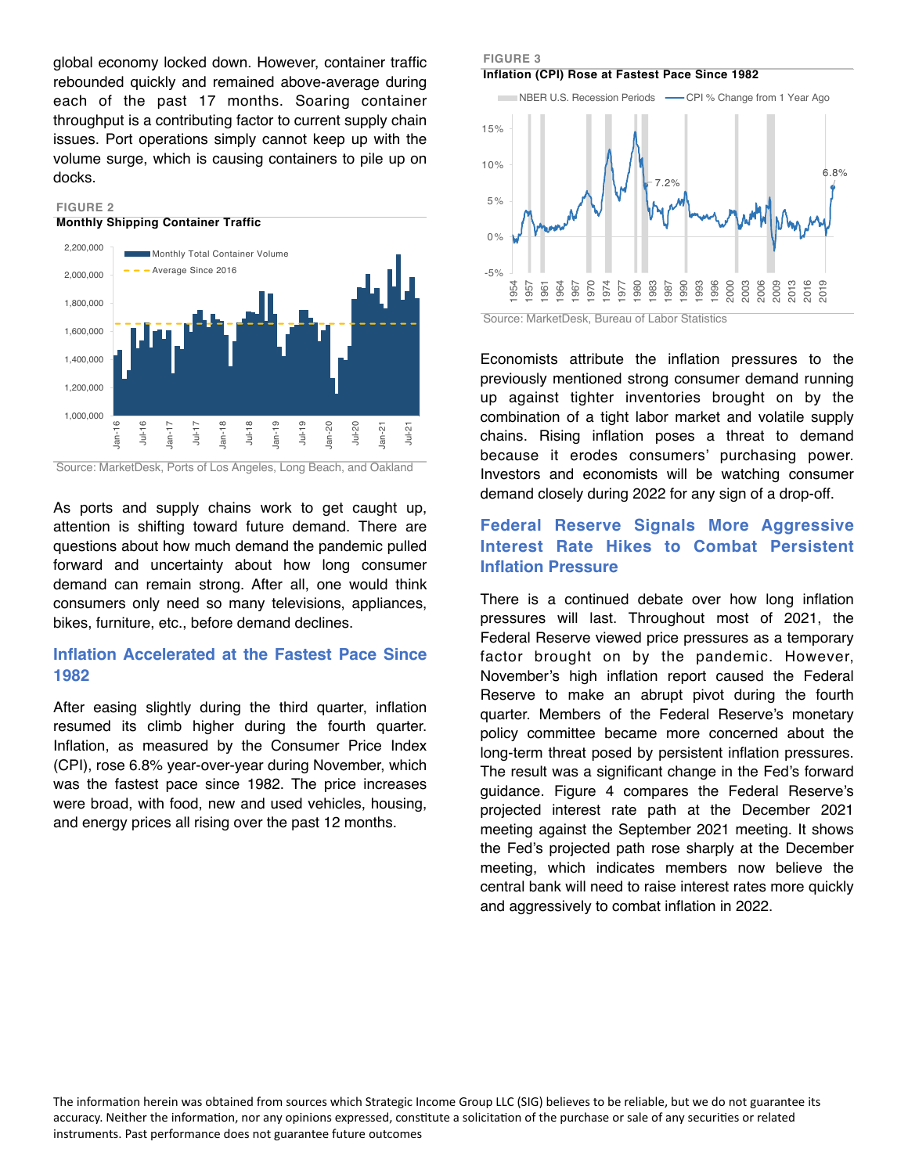global economy locked down. However, container traffic rebounded quickly and remained above-average during each of the past 17 months. Soaring container throughput is a contributing factor to current supply chain issues. Port operations simply cannot keep up with the volume surge, which is causing containers to pile up on docks.



Source: MarketDesk, Ports of Los Angeles, Long Beach, and Oakland

As ports and supply chains work to get caught up, attention is shifting toward future demand. There are questions about how much demand the pandemic pulled forward and uncertainty about how long consumer demand can remain strong. After all, one would think consumers only need so many televisions, appliances, bikes, furniture, etc., before demand declines.

## **Inflation Accelerated at the Fastest Pace Since 1982**

After easing slightly during the third quarter, inflation resumed its climb higher during the fourth quarter. Inflation, as measured by the Consumer Price Index (CPI), rose 6.8% year-over-year during November, which was the fastest pace since 1982. The price increases were broad, with food, new and used vehicles, housing, and energy prices all rising over the past 12 months.







Economists attribute the inflation pressures to the previously mentioned strong consumer demand running up against tighter inventories brought on by the combination of a tight labor market and volatile supply chains. Rising inflation poses a threat to demand because it erodes consumers' purchasing power. Investors and economists will be watching consumer demand closely during 2022 for any sign of a drop-off.

## **Federal Reserve Signals More Aggressive Interest Rate Hikes to Combat Persistent Inflation Pressure**

There is a continued debate over how long inflation pressures will last. Throughout most of 2021, the Federal Reserve viewed price pressures as a temporary factor brought on by the pandemic. However, November's high inflation report caused the Federal Reserve to make an abrupt pivot during the fourth quarter. Members of the Federal Reserve's monetary policy committee became more concerned about the long-term threat posed by persistent inflation pressures. The result was a significant change in the Fed's forward guidance. Figure 4 compares the Federal Reserve's projected interest rate path at the December 2021 meeting against the September 2021 meeting. It shows the Fed's projected path rose sharply at the December meeting, which indicates members now believe the central bank will need to raise interest rates more quickly and aggressively to combat inflation in 2022.

The information herein was obtained from sources which Strategic Income Group LLC (SIG) believes to be reliable, but we do not guarantee its accuracy. Neither the information, nor any opinions expressed, constitute a solicitation of the purchase or sale of any securities or related instruments. Past performance does not guarantee future outcomes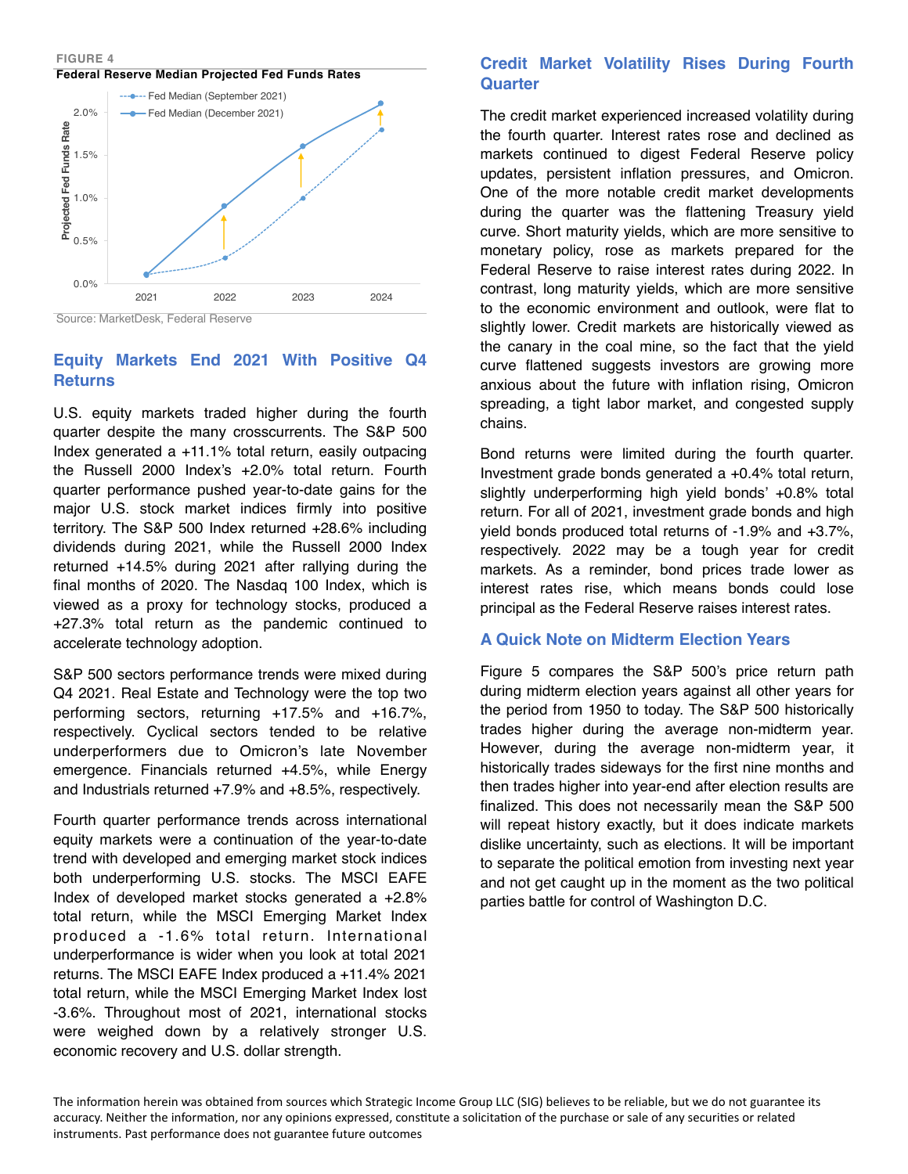**FIGURE 4 Federal Reserve Median Projected Fed Funds Rates**



Source: MarketDesk, Federal Reserve

# **Equity Markets End 2021 With Positive Q4 Returns**

U.S. equity markets traded higher during the fourth quarter despite the many crosscurrents. The S&P 500 Index generated a +11.1% total return, easily outpacing the Russell 2000 Index's +2.0% total return. Fourth quarter performance pushed year-to-date gains for the major U.S. stock market indices firmly into positive territory. The S&P 500 Index returned +28.6% including dividends during 2021, while the Russell 2000 Index returned +14.5% during 2021 after rallying during the final months of 2020. The Nasdaq 100 Index, which is viewed as a proxy for technology stocks, produced a +27.3% total return as the pandemic continued to accelerate technology adoption.

S&P 500 sectors performance trends were mixed during Q4 2021. Real Estate and Technology were the top two performing sectors, returning +17.5% and +16.7%, respectively. Cyclical sectors tended to be relative underperformers due to Omicron's late November emergence. Financials returned +4.5%, while Energy and Industrials returned +7.9% and +8.5%, respectively.

Fourth quarter performance trends across international equity markets were a continuation of the year-to-date trend with developed and emerging market stock indices both underperforming U.S. stocks. The MSCI EAFE Index of developed market stocks generated a +2.8% total return, while the MSCI Emerging Market Index produced a -1.6% total return. International underperformance is wider when you look at total 2021 returns. The MSCI EAFE Index produced a +11.4% 2021 total return, while the MSCI Emerging Market Index lost -3.6%. Throughout most of 2021, international stocks were weighed down by a relatively stronger U.S. economic recovery and U.S. dollar strength.

# **Credit Market Volatility Rises During Fourth Quarter**

The credit market experienced increased volatility during the fourth quarter. Interest rates rose and declined as markets continued to digest Federal Reserve policy updates, persistent inflation pressures, and Omicron. One of the more notable credit market developments during the quarter was the flattening Treasury yield curve. Short maturity yields, which are more sensitive to monetary policy, rose as markets prepared for the Federal Reserve to raise interest rates during 2022. In contrast, long maturity yields, which are more sensitive to the economic environment and outlook, were flat to slightly lower. Credit markets are historically viewed as the canary in the coal mine, so the fact that the yield curve flattened suggests investors are growing more anxious about the future with inflation rising, Omicron spreading, a tight labor market, and congested supply chains.

Bond returns were limited during the fourth quarter. Investment grade bonds generated a +0.4% total return, slightly underperforming high yield bonds' +0.8% total return. For all of 2021, investment grade bonds and high yield bonds produced total returns of -1.9% and +3.7%, respectively. 2022 may be a tough year for credit markets. As a reminder, bond prices trade lower as interest rates rise, which means bonds could lose principal as the Federal Reserve raises interest rates.

# **A Quick Note on Midterm Election Years**

Figure 5 compares the S&P 500's price return path during midterm election years against all other years for the period from 1950 to today. The S&P 500 historically trades higher during the average non-midterm year. However, during the average non-midterm year, it historically trades sideways for the first nine months and then trades higher into year-end after election results are finalized. This does not necessarily mean the S&P 500 will repeat history exactly, but it does indicate markets dislike uncertainty, such as elections. It will be important to separate the political emotion from investing next year and not get caught up in the moment as the two political parties battle for control of Washington D.C.

The information herein was obtained from sources which Strategic Income Group LLC (SIG) believes to be reliable, but we do not guarantee its accuracy. Neither the information, nor any opinions expressed, constitute a solicitation of the purchase or sale of any securities or related instruments. Past performance does not guarantee future outcomes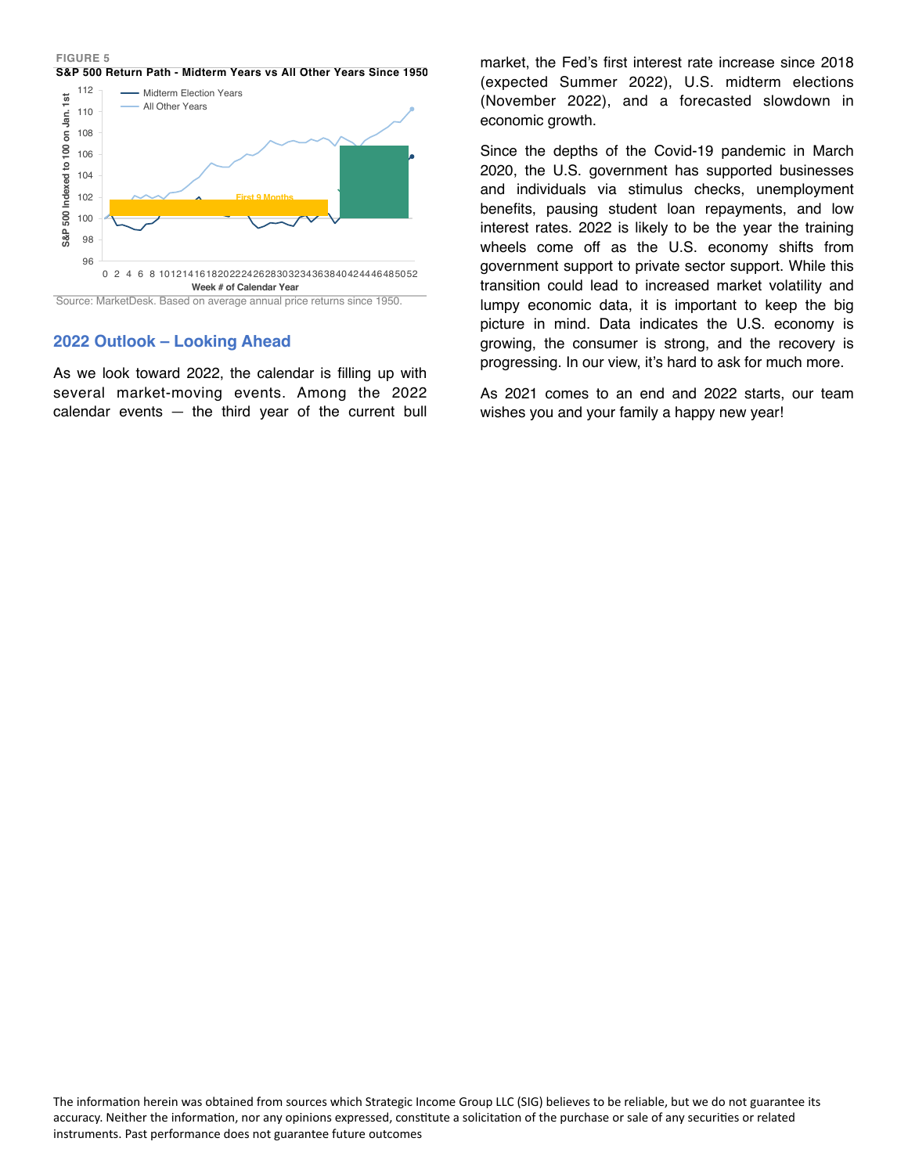#### **FIGURE 5 S&P 500 Return Path - Midterm Years vs All Other Years Since 1950**



# **2022 Outlook – Looking Ahead**

As we look toward 2022, the calendar is filling up with several market-moving events. Among the 2022 calendar events  $-$  the third year of the current bull market, the Fed's first interest rate increase since 2018 (expected Summer 2022), U.S. midterm elections (November 2022), and a forecasted slowdown in economic growth.

Since the depths of the Covid-19 pandemic in March 2020, the U.S. government has supported businesses and individuals via stimulus checks, unemployment benefits, pausing student loan repayments, and low interest rates. 2022 is likely to be the year the training wheels come off as the U.S. economy shifts from government support to private sector support. While this transition could lead to increased market volatility and lumpy economic data, it is important to keep the big picture in mind. Data indicates the U.S. economy is growing, the consumer is strong, and the recovery is progressing. In our view, it's hard to ask for much more.

As 2021 comes to an end and 2022 starts, our team wishes you and your family a happy new year!